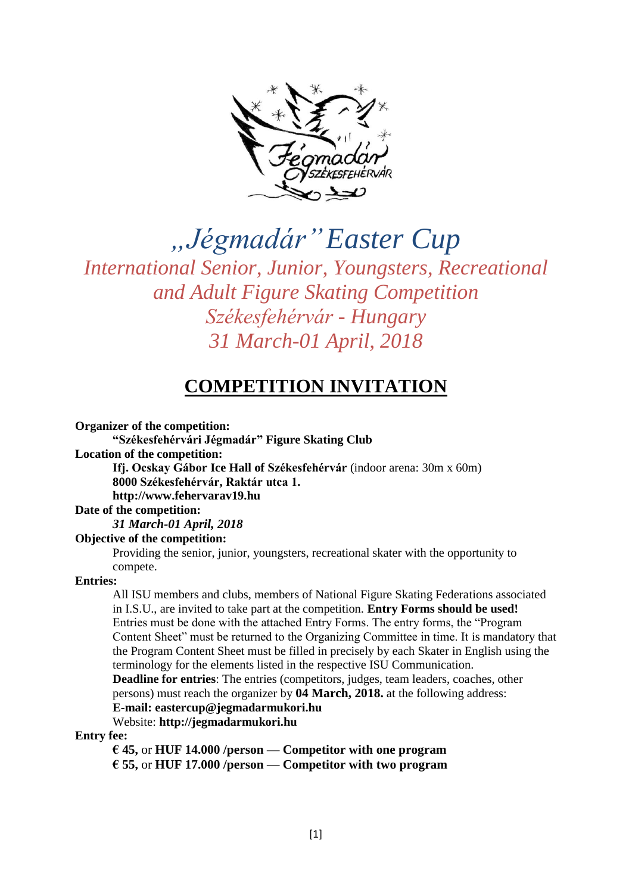

*"Jégmadár"Easter Cup*

*International Senior, Junior, Youngsters, Recreational and Adult Figure Skating Competition Székesfehérvár - Hungary 31 March-01 April, 2018*

# **COMPETITION INVITATION**

**Organizer of the competition:** 

**"Székesfehérvári Jégmadár" Figure Skating Club Location of the competition: Ifj. Ocskay Gábor Ice Hall of Székesfehérvár** (indoor arena: 30m x 60m) **8000 Székesfehérvár, Raktár utca 1.** 

**http://www.fehervarav19.hu**

#### **Date of the competition:**

*31 March-01 April, 2018*

**Objective of the competition:** 

Providing the senior, junior, youngsters, recreational skater with the opportunity to compete.

#### **Entries:**

All ISU members and clubs, members of National Figure Skating Federations associated in I.S.U., are invited to take part at the competition. **Entry Forms should be used!**  Entries must be done with the attached Entry Forms. The entry forms, the "Program Content Sheet" must be returned to the Organizing Committee in time. It is mandatory that the Program Content Sheet must be filled in precisely by each Skater in English using the terminology for the elements listed in the respective ISU Communication.

**Deadline for entries**: The entries (competitors, judges, team leaders, coaches, other persons) must reach the organizer by **04 March, 2018.** at the following address: **E-mail: eastercup@jegmadarmukori.hu**

Website: **http://jegmadarmukori.hu**

#### **Entry fee:**

**€ 45,** or **HUF 14.000 /person — Competitor with one program € 55,** or **HUF 17.000 /person — Competitor with two program**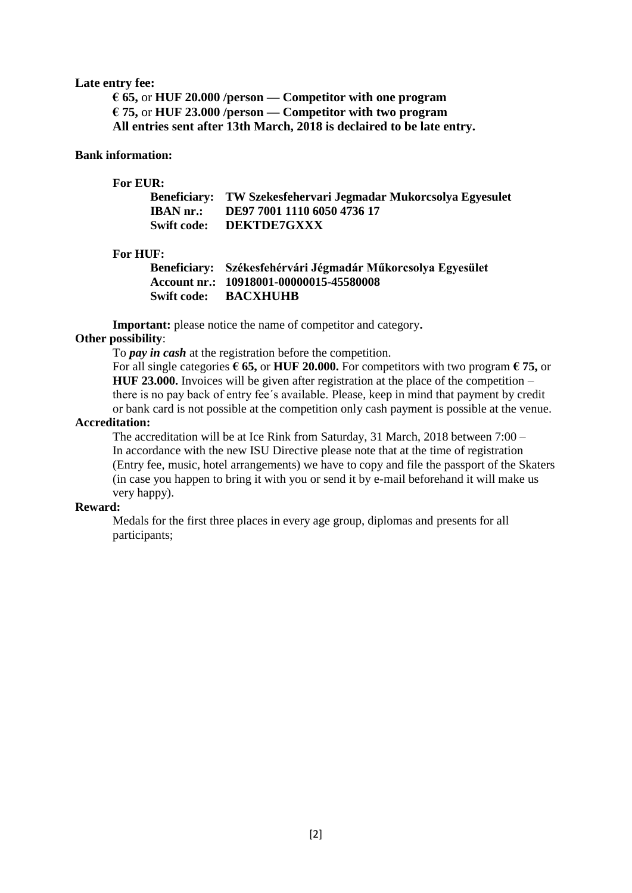#### **Late entry fee:**

**€ 65,** or **HUF 20.000 /person — Competitor with one program € 75,** or **HUF 23.000 /person — Competitor with two program All entries sent after 13th March, 2018 is declaired to be late entry.**

#### **Bank information:**

#### **For EUR:**

|           | Beneficiary: TW Szekesfehervari Jegmadar Mukorcsolya Egyesulet |
|-----------|----------------------------------------------------------------|
| IBAN nr.: | DE97 7001 1110 6050 4736 17                                    |
|           | Swift code: DEKTDE7GXXX                                        |

#### **For HUF:**

| Beneficiary: Székesfehérvári Jégmadár Műkorcsolya Egyesület |
|-------------------------------------------------------------|
| Account nr.: 10918001-00000015-45580008                     |
| <b>Swift code: BACXHUHB</b>                                 |

**Important:** please notice the name of competitor and category**.**

#### **Other possibility**:

To *pay in cash* at the registration before the competition.

For all single categories **€ 65,** or **HUF 20.000.** For competitors with two program **€ 75,** or **HUF 23.000.** Invoices will be given after registration at the place of the competition – there is no pay back of entry fee´s available. Please, keep in mind that payment by credit or bank card is not possible at the competition only cash payment is possible at the venue.

#### **Accreditation:**

The accreditation will be at Ice Rink from Saturday, 31 March, 2018 between 7:00 – In accordance with the new ISU Directive please note that at the time of registration (Entry fee, music, hotel arrangements) we have to copy and file the passport of the Skaters (in case you happen to bring it with you or send it by e-mail beforehand it will make us very happy).

#### **Reward:**

Medals for the first three places in every age group, diplomas and presents for all participants;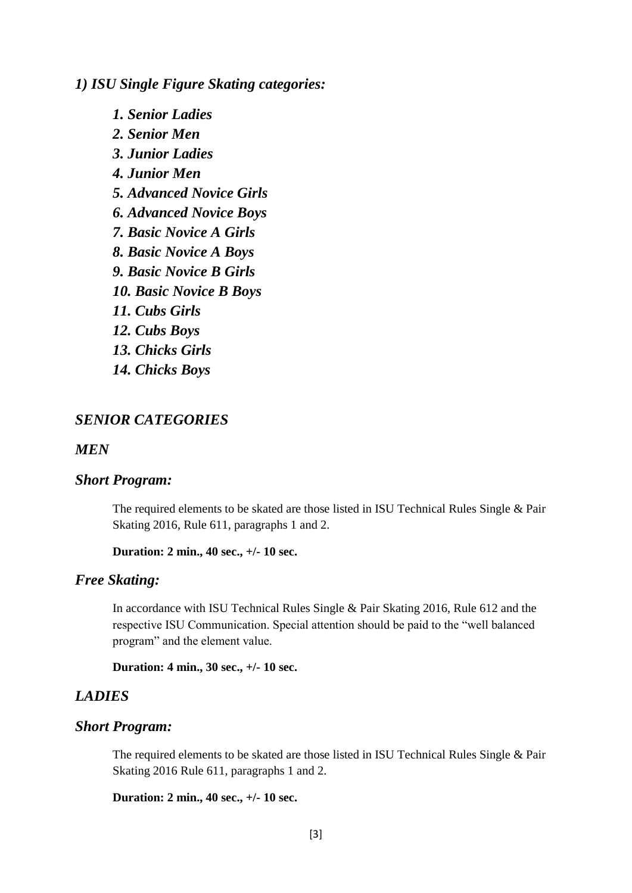*1) ISU Single Figure Skating categories:*

*1. Senior Ladies 2. Senior Men 3. Junior Ladies 4. Junior Men 5. Advanced Novice Girls 6. Advanced Novice Boys 7. Basic Novice A Girls 8. Basic Novice A Boys 9. Basic Novice B Girls 10. Basic Novice B Boys 11. Cubs Girls 12. Cubs Boys 13. Chicks Girls 14. Chicks Boys*

### *SENIOR CATEGORIES*

*MEN*

#### *Short Program:*

The required elements to be skated are those listed in ISU Technical Rules Single & Pair Skating 2016, Rule 611, paragraphs 1 and 2.

```
Duration: 2 min., 40 sec., +/- 10 sec.
```
### *Free Skating:*

In accordance with ISU Technical Rules Single & Pair Skating 2016, Rule 612 and the respective ISU Communication. Special attention should be paid to the "well balanced program" and the element value.

**Duration: 4 min., 30 sec., +/- 10 sec.**

## *LADIES*

#### *Short Program:*

The required elements to be skated are those listed in ISU Technical Rules Single & Pair Skating 2016 Rule 611, paragraphs 1 and 2.

**Duration: 2 min., 40 sec., +/- 10 sec.**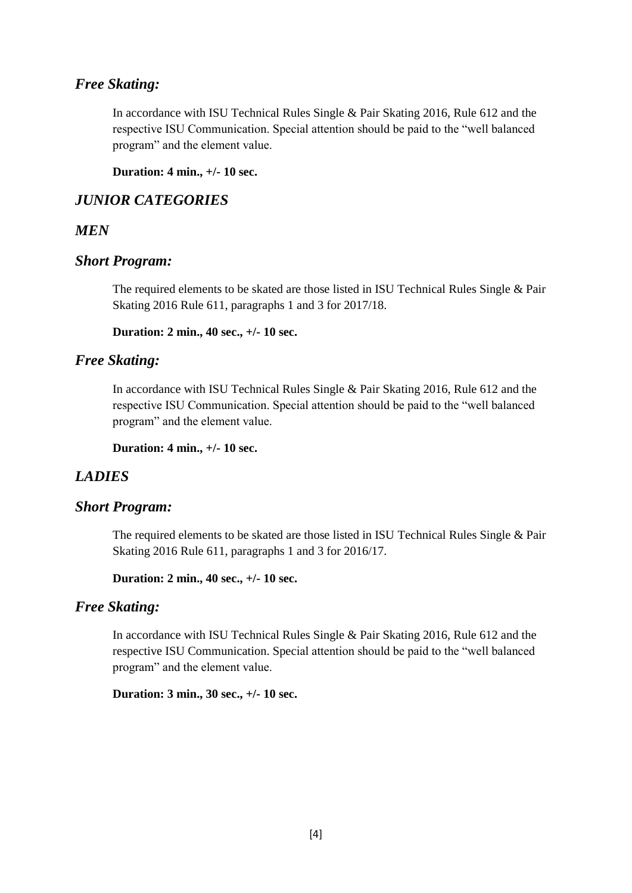## *Free Skating:*

In accordance with ISU Technical Rules Single & Pair Skating 2016, Rule 612 and the respective ISU Communication. Special attention should be paid to the "well balanced program" and the element value.

**Duration: 4 min., +/- 10 sec.**

## *JUNIOR CATEGORIES*

## *MEN*

### *Short Program:*

The required elements to be skated are those listed in ISU Technical Rules Single & Pair Skating 2016 Rule 611, paragraphs 1 and 3 for 2017/18.

**Duration: 2 min., 40 sec., +/- 10 sec.**

### *Free Skating:*

In accordance with ISU Technical Rules Single & Pair Skating 2016, Rule 612 and the respective ISU Communication. Special attention should be paid to the "well balanced program" and the element value.

**Duration: 4 min., +/- 10 sec.**

### *LADIES*

## *Short Program:*

The required elements to be skated are those listed in ISU Technical Rules Single & Pair Skating 2016 Rule 611, paragraphs 1 and 3 for 2016/17.

**Duration: 2 min., 40 sec., +/- 10 sec.**

### *Free Skating:*

In accordance with ISU Technical Rules Single & Pair Skating 2016, Rule 612 and the respective ISU Communication. Special attention should be paid to the "well balanced program" and the element value.

**Duration: 3 min., 30 sec., +/- 10 sec.**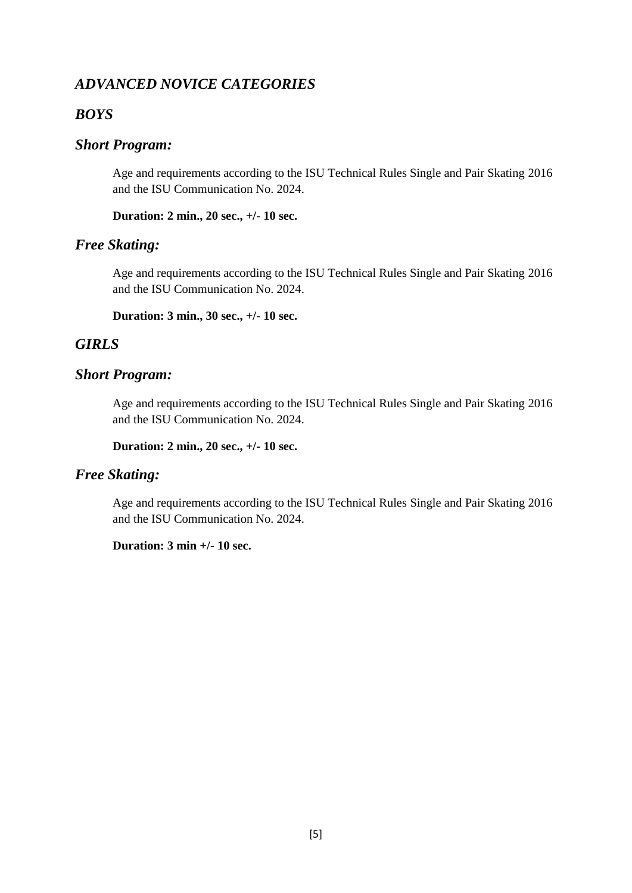## *ADVANCED NOVICE CATEGORIES*

## *BOYS*

## *Short Program:*

Age and requirements according to the ISU Technical Rules Single and Pair Skating 2016 and the ISU Communication No. 2024.

**Duration: 2 min., 20 sec., +/- 10 sec.**

## *Free Skating:*

Age and requirements according to the ISU Technical Rules Single and Pair Skating 2016 and the ISU Communication No. 2024.

**Duration: 3 min., 30 sec., +/- 10 sec.**

## *GIRLS*

### *Short Program:*

Age and requirements according to the ISU Technical Rules Single and Pair Skating 2016 and the ISU Communication No. 2024.

**Duration: 2 min., 20 sec., +/- 10 sec.**

### *Free Skating:*

Age and requirements according to the ISU Technical Rules Single and Pair Skating 2016 and the ISU Communication No. 2024.

**Duration: 3 min +/- 10 sec.**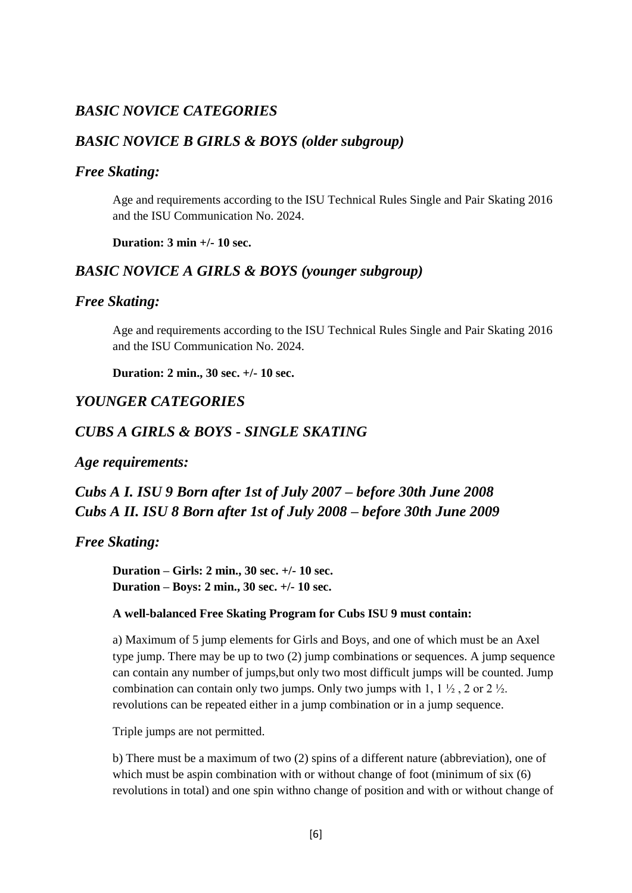## *BASIC NOVICE CATEGORIES*

## *BASIC NOVICE B GIRLS & BOYS (older subgroup)*

#### *Free Skating:*

Age and requirements according to the ISU Technical Rules Single and Pair Skating 2016 and the ISU Communication No. 2024.

**Duration: 3 min +/- 10 sec.**

### *BASIC NOVICE A GIRLS & BOYS (younger subgroup)*

#### *Free Skating:*

Age and requirements according to the ISU Technical Rules Single and Pair Skating 2016 and the ISU Communication No. 2024.

**Duration: 2 min., 30 sec. +/- 10 sec.**

## *YOUNGER CATEGORIES*

### *CUBS A GIRLS & BOYS - SINGLE SKATING*

*Age requirements:*

## *Cubs A I. ISU 9 Born after 1st of July 2007 – before 30th June 2008 Cubs A II. ISU 8 Born after 1st of July 2008 – before 30th June 2009*

#### *Free Skating:*

**Duration – Girls: 2 min., 30 sec. +/- 10 sec. Duration – Boys: 2 min., 30 sec. +/- 10 sec.**

#### **A well-balanced Free Skating Program for Cubs ISU 9 must contain:**

a) Maximum of 5 jump elements for Girls and Boys, and one of which must be an Axel type jump. There may be up to two (2) jump combinations or sequences. A jump sequence can contain any number of jumps,but only two most difficult jumps will be counted. Jump combination can contain only two jumps. Only two jumps with 1, 1  $\frac{1}{2}$ , 2 or 2  $\frac{1}{2}$ . revolutions can be repeated either in a jump combination or in a jump sequence.

Triple jumps are not permitted.

b) There must be a maximum of two (2) spins of a different nature (abbreviation), one of which must be aspin combination with or without change of foot (minimum of six  $(6)$ ) revolutions in total) and one spin withno change of position and with or without change of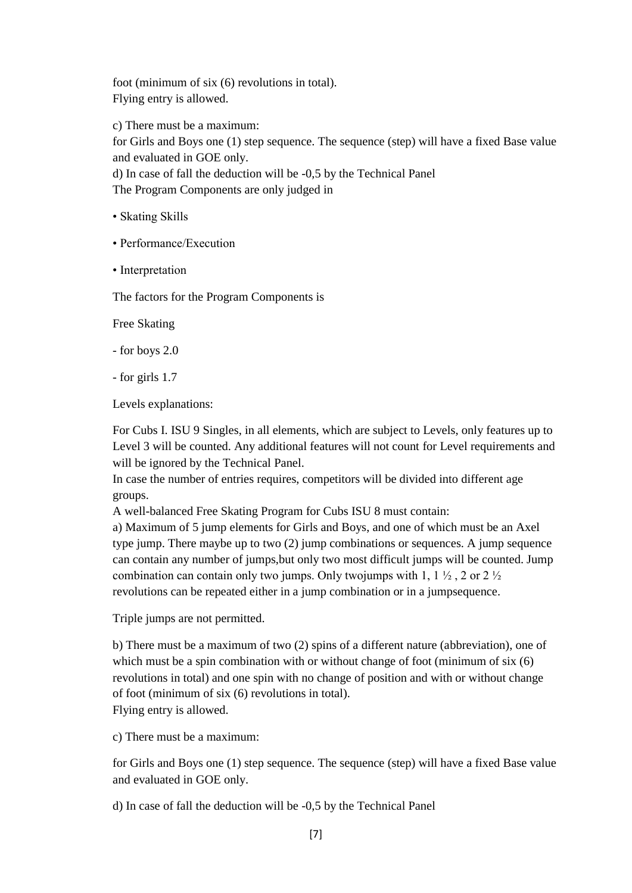foot (minimum of six (6) revolutions in total). Flying entry is allowed.

c) There must be a maximum: for Girls and Boys one (1) step sequence. The sequence (step) will have a fixed Base value and evaluated in GOE only. d) In case of fall the deduction will be -0,5 by the Technical Panel

The Program Components are only judged in

- Skating Skills
- Performance/Execution
- Interpretation

The factors for the Program Components is

Free Skating

- for boys 2.0
- for girls 1.7

Levels explanations:

For Cubs I. ISU 9 Singles, in all elements, which are subject to Levels, only features up to Level 3 will be counted. Any additional features will not count for Level requirements and will be ignored by the Technical Panel.

In case the number of entries requires, competitors will be divided into different age groups.

A well-balanced Free Skating Program for Cubs ISU 8 must contain:

a) Maximum of 5 jump elements for Girls and Boys, and one of which must be an Axel type jump. There maybe up to two (2) jump combinations or sequences. A jump sequence can contain any number of jumps,but only two most difficult jumps will be counted. Jump combination can contain only two jumps. Only two jumps with 1, 1  $\frac{1}{2}$ , 2 or 2  $\frac{1}{2}$ revolutions can be repeated either in a jump combination or in a jumpsequence.

Triple jumps are not permitted.

b) There must be a maximum of two (2) spins of a different nature (abbreviation), one of which must be a spin combination with or without change of foot (minimum of six  $(6)$ ) revolutions in total) and one spin with no change of position and with or without change of foot (minimum of six (6) revolutions in total). Flying entry is allowed.

c) There must be a maximum:

for Girls and Boys one (1) step sequence. The sequence (step) will have a fixed Base value and evaluated in GOE only.

d) In case of fall the deduction will be -0,5 by the Technical Panel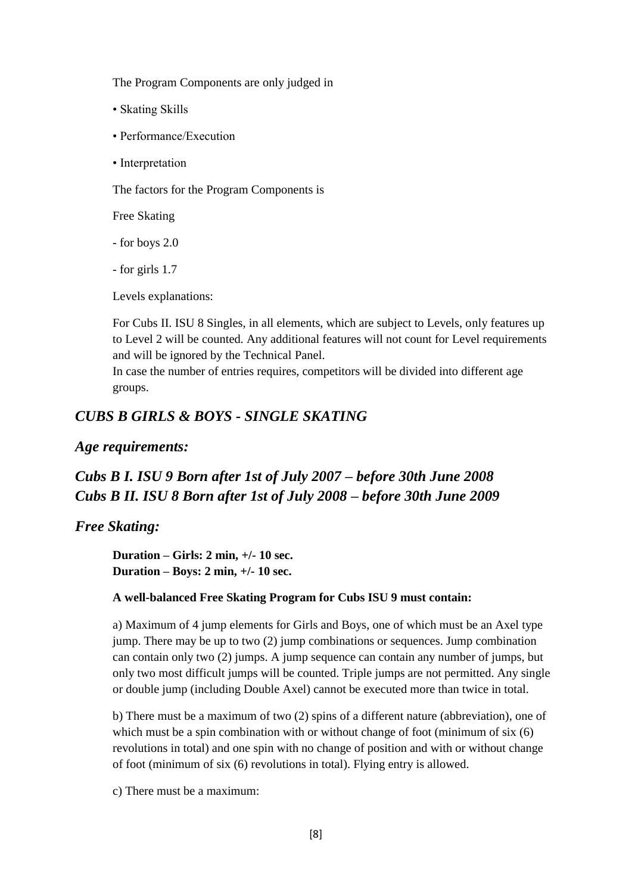The Program Components are only judged in

- Skating Skills
- Performance/Execution
- Interpretation

The factors for the Program Components is

Free Skating

- for boys 2.0
- for girls 1.7

Levels explanations:

For Cubs II. ISU 8 Singles, in all elements, which are subject to Levels, only features up to Level 2 will be counted. Any additional features will not count for Level requirements and will be ignored by the Technical Panel.

In case the number of entries requires, competitors will be divided into different age groups.

## *CUBS B GIRLS & BOYS - SINGLE SKATING*

### *Age requirements:*

# *Cubs B I. ISU 9 Born after 1st of July 2007 – before 30th June 2008 Cubs B II. ISU 8 Born after 1st of July 2008 – before 30th June 2009*

### *Free Skating:*

**Duration – Girls: 2 min, +/- 10 sec. Duration – Boys: 2 min, +/- 10 sec.**

#### **A well-balanced Free Skating Program for Cubs ISU 9 must contain:**

a) Maximum of 4 jump elements for Girls and Boys, one of which must be an Axel type jump. There may be up to two (2) jump combinations or sequences. Jump combination can contain only two (2) jumps. A jump sequence can contain any number of jumps, but only two most difficult jumps will be counted. Triple jumps are not permitted. Any single or double jump (including Double Axel) cannot be executed more than twice in total.

b) There must be a maximum of two (2) spins of a different nature (abbreviation), one of which must be a spin combination with or without change of foot (minimum of six  $(6)$ ) revolutions in total) and one spin with no change of position and with or without change of foot (minimum of six (6) revolutions in total). Flying entry is allowed.

c) There must be a maximum: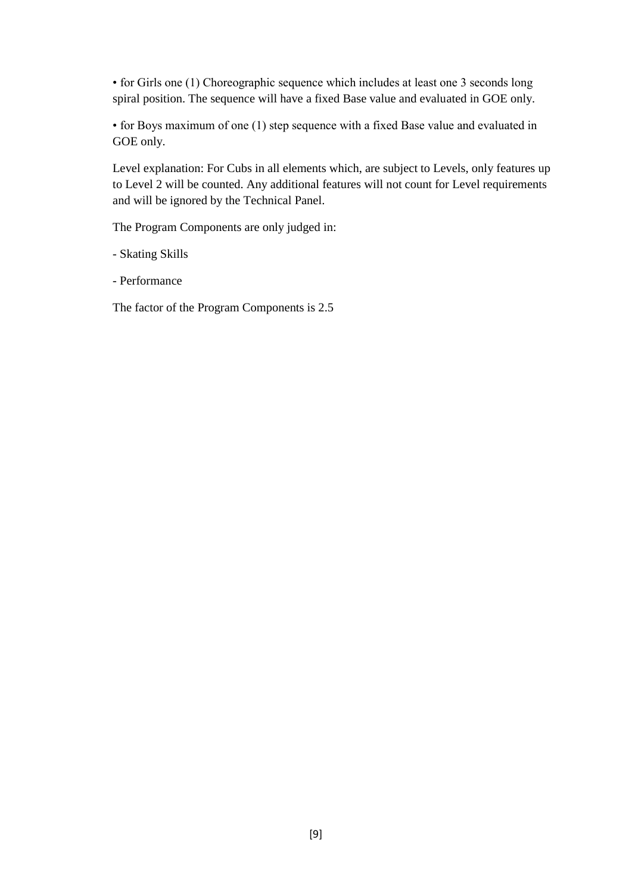• for Girls one (1) Choreographic sequence which includes at least one 3 seconds long spiral position. The sequence will have a fixed Base value and evaluated in GOE only.

• for Boys maximum of one (1) step sequence with a fixed Base value and evaluated in GOE only.

Level explanation: For Cubs in all elements which, are subject to Levels, only features up to Level 2 will be counted. Any additional features will not count for Level requirements and will be ignored by the Technical Panel.

The Program Components are only judged in:

- Skating Skills

- Performance

The factor of the Program Components is 2.5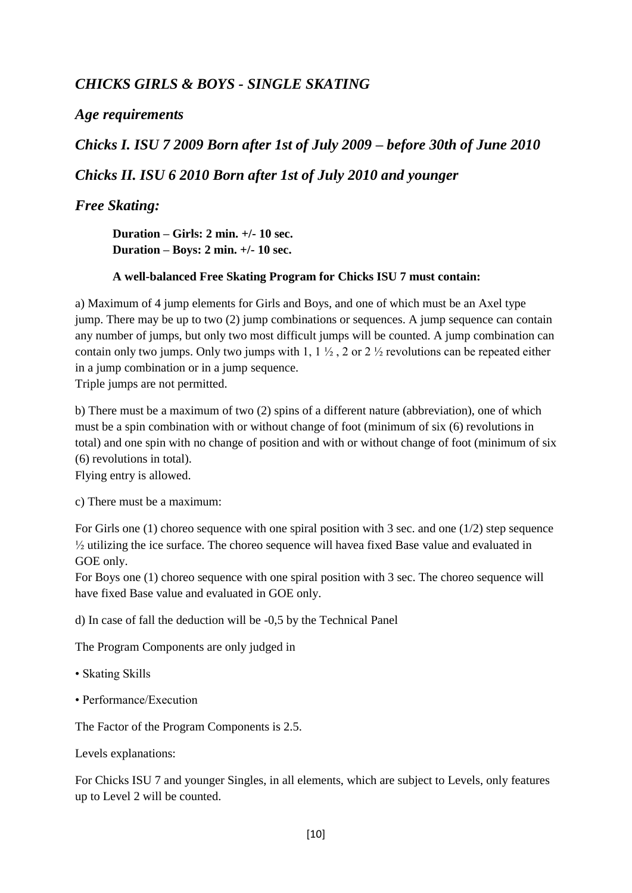## *CHICKS GIRLS & BOYS - SINGLE SKATING*

## *Age requirements*

*Chicks I. ISU 7 2009 Born after 1st of July 2009 – before 30th of June 2010 Chicks II. ISU 6 2010 Born after 1st of July 2010 and younger*

## *Free Skating:*

**Duration – Girls: 2 min. +/- 10 sec. Duration – Boys: 2 min. +/- 10 sec.**

#### **A well-balanced Free Skating Program for Chicks ISU 7 must contain:**

a) Maximum of 4 jump elements for Girls and Boys, and one of which must be an Axel type jump. There may be up to two (2) jump combinations or sequences. A jump sequence can contain any number of jumps, but only two most difficult jumps will be counted. A jump combination can contain only two jumps. Only two jumps with 1,  $1 \frac{1}{2}$ , 2 or 2  $\frac{1}{2}$  revolutions can be repeated either in a jump combination or in a jump sequence.

Triple jumps are not permitted.

b) There must be a maximum of two (2) spins of a different nature (abbreviation), one of which must be a spin combination with or without change of foot (minimum of six (6) revolutions in total) and one spin with no change of position and with or without change of foot (minimum of six (6) revolutions in total).

Flying entry is allowed.

c) There must be a maximum:

For Girls one (1) choreo sequence with one spiral position with 3 sec. and one (1/2) step sequence ½ utilizing the ice surface. The choreo sequence will havea fixed Base value and evaluated in GOE only.

For Boys one (1) choreo sequence with one spiral position with 3 sec. The choreo sequence will have fixed Base value and evaluated in GOE only.

d) In case of fall the deduction will be -0,5 by the Technical Panel

The Program Components are only judged in

- Skating Skills
- Performance/Execution

The Factor of the Program Components is 2.5.

Levels explanations:

For Chicks ISU 7 and younger Singles, in all elements, which are subject to Levels, only features up to Level 2 will be counted.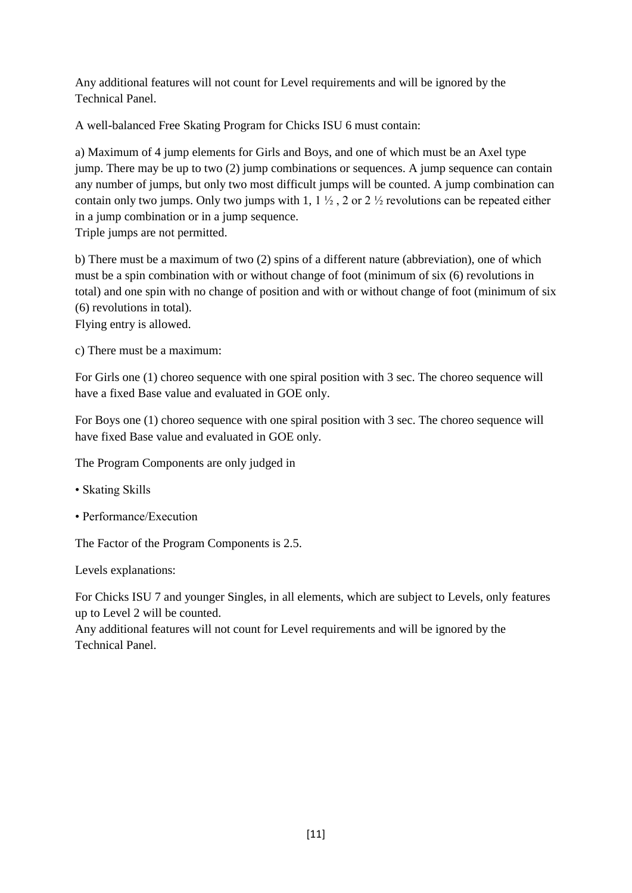Any additional features will not count for Level requirements and will be ignored by the Technical Panel.

A well-balanced Free Skating Program for Chicks ISU 6 must contain:

a) Maximum of 4 jump elements for Girls and Boys, and one of which must be an Axel type jump. There may be up to two (2) jump combinations or sequences. A jump sequence can contain any number of jumps, but only two most difficult jumps will be counted. A jump combination can contain only two jumps. Only two jumps with 1,  $1 \frac{1}{2}$ , 2 or 2  $\frac{1}{2}$  revolutions can be repeated either in a jump combination or in a jump sequence.

Triple jumps are not permitted.

b) There must be a maximum of two (2) spins of a different nature (abbreviation), one of which must be a spin combination with or without change of foot (minimum of six (6) revolutions in total) and one spin with no change of position and with or without change of foot (minimum of six (6) revolutions in total).

Flying entry is allowed.

c) There must be a maximum:

For Girls one (1) choreo sequence with one spiral position with 3 sec. The choreo sequence will have a fixed Base value and evaluated in GOE only.

For Boys one (1) choreo sequence with one spiral position with 3 sec. The choreo sequence will have fixed Base value and evaluated in GOE only.

The Program Components are only judged in

- Skating Skills
- Performance/Execution

The Factor of the Program Components is 2.5.

Levels explanations:

For Chicks ISU 7 and younger Singles, in all elements, which are subject to Levels, only features up to Level 2 will be counted.

Any additional features will not count for Level requirements and will be ignored by the Technical Panel.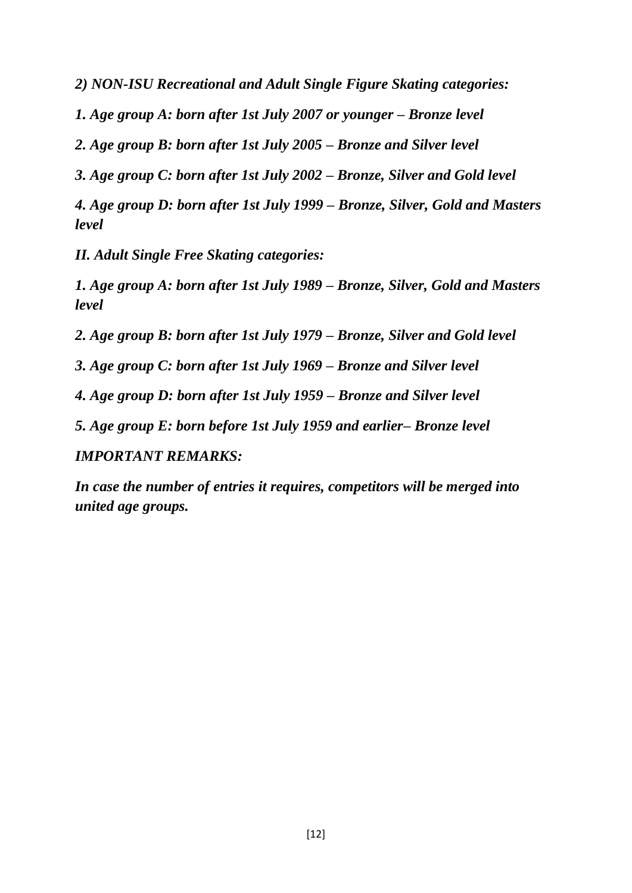*2) NON-ISU Recreational and Adult Single Figure Skating categories:*

*1. Age group A: born after 1st July 2007 or younger – Bronze level*

*2. Age group B: born after 1st July 2005 – Bronze and Silver level*

*3. Age group C: born after 1st July 2002 – Bronze, Silver and Gold level*

*4. Age group D: born after 1st July 1999 – Bronze, Silver, Gold and Masters level*

*II. Adult Single Free Skating categories:*

*1. Age group A: born after 1st July 1989 – Bronze, Silver, Gold and Masters level*

*2. Age group B: born after 1st July 1979 – Bronze, Silver and Gold level*

*3. Age group C: born after 1st July 1969 – Bronze and Silver level*

*4. Age group D: born after 1st July 1959 – Bronze and Silver level*

*5. Age group E: born before 1st July 1959 and earlier– Bronze level*

*IMPORTANT REMARKS:*

*In case the number of entries it requires, competitors will be merged into united age groups.*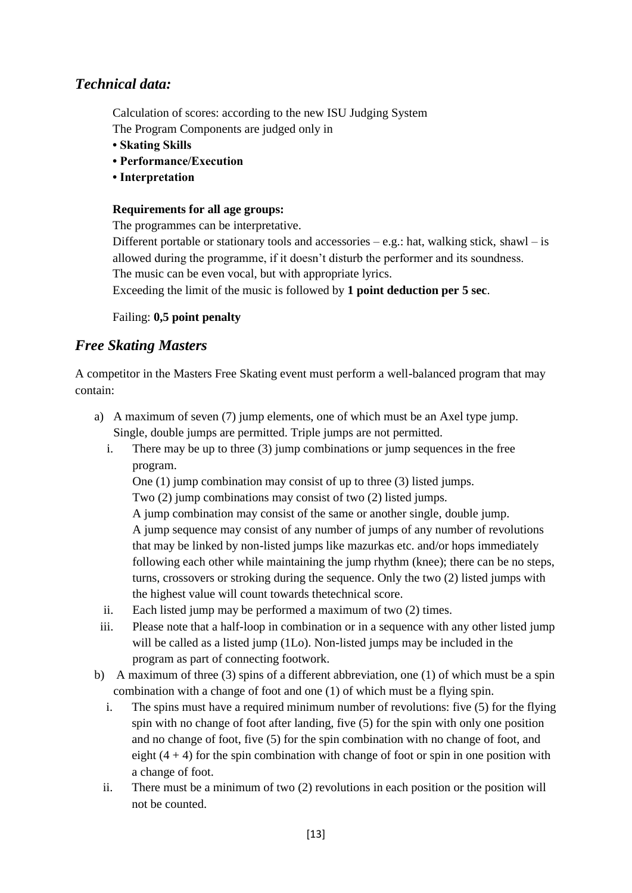## *Technical data:*

Calculation of scores: according to the new ISU Judging System

The Program Components are judged only in

- **Skating Skills**
- **Performance/Execution**
- **Interpretation**

### **Requirements for all age groups:**

The programmes can be interpretative.

Different portable or stationary tools and accessories  $-e.g.:$  hat, walking stick, shawl  $-$  is allowed during the programme, if it doesn't disturb the performer and its soundness. The music can be even vocal, but with appropriate lyrics.

Exceeding the limit of the music is followed by **1 point deduction per 5 sec**.

Failing: **0,5 point penalty**

## *Free Skating Masters*

A competitor in the Masters Free Skating event must perform a well-balanced program that may contain:

- a) A maximum of seven (7) jump elements, one of which must be an Axel type jump. Single, double jumps are permitted. Triple jumps are not permitted.
	- i. There may be up to three (3) jump combinations or jump sequences in the free program.

One (1) jump combination may consist of up to three (3) listed jumps.

Two (2) jump combinations may consist of two (2) listed jumps.

A jump combination may consist of the same or another single, double jump. A jump sequence may consist of any number of jumps of any number of revolutions that may be linked by non-listed jumps like mazurkas etc. and/or hops immediately following each other while maintaining the jump rhythm (knee); there can be no steps, turns, crossovers or stroking during the sequence. Only the two (2) listed jumps with the highest value will count towards thetechnical score.

- ii. Each listed jump may be performed a maximum of two (2) times.
- iii. Please note that a half-loop in combination or in a sequence with any other listed jump will be called as a listed jump (1Lo). Non-listed jumps may be included in the program as part of connecting footwork.
- b) A maximum of three (3) spins of a different abbreviation, one (1) of which must be a spin combination with a change of foot and one (1) of which must be a flying spin.
	- i. The spins must have a required minimum number of revolutions: five (5) for the flying spin with no change of foot after landing, five (5) for the spin with only one position and no change of foot, five (5) for the spin combination with no change of foot, and eight  $(4 + 4)$  for the spin combination with change of foot or spin in one position with a change of foot.
	- ii. There must be a minimum of two (2) revolutions in each position or the position will not be counted.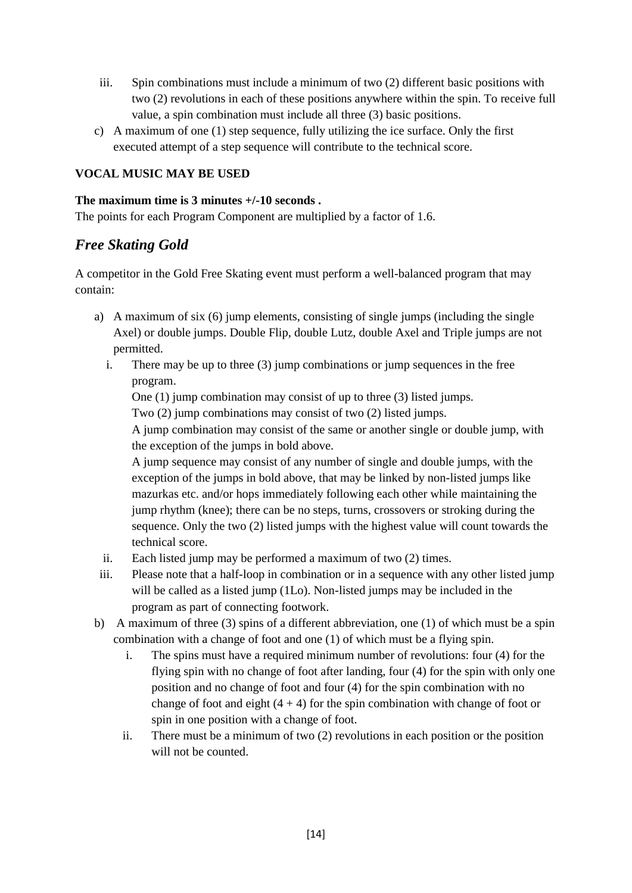- iii. Spin combinations must include a minimum of two (2) different basic positions with two (2) revolutions in each of these positions anywhere within the spin. To receive full value, a spin combination must include all three (3) basic positions.
- c) A maximum of one (1) step sequence, fully utilizing the ice surface. Only the first executed attempt of a step sequence will contribute to the technical score.

## **VOCAL MUSIC MAY BE USED**

#### **The maximum time is 3 minutes +/-10 seconds .**

The points for each Program Component are multiplied by a factor of 1.6.

## *Free Skating Gold*

A competitor in the Gold Free Skating event must perform a well-balanced program that may contain:

- a) A maximum of six (6) jump elements, consisting of single jumps (including the single Axel) or double jumps. Double Flip, double Lutz, double Axel and Triple jumps are not permitted.
	- i. There may be up to three (3) jump combinations or jump sequences in the free program.

One (1) jump combination may consist of up to three (3) listed jumps.

Two (2) jump combinations may consist of two (2) listed jumps.

A jump combination may consist of the same or another single or double jump, with the exception of the jumps in bold above.

A jump sequence may consist of any number of single and double jumps, with the exception of the jumps in bold above, that may be linked by non-listed jumps like mazurkas etc. and/or hops immediately following each other while maintaining the jump rhythm (knee); there can be no steps, turns, crossovers or stroking during the sequence. Only the two (2) listed jumps with the highest value will count towards the technical score.

- ii. Each listed jump may be performed a maximum of two (2) times.
- iii. Please note that a half-loop in combination or in a sequence with any other listed jump will be called as a listed jump (1Lo). Non-listed jumps may be included in the program as part of connecting footwork.
- b) A maximum of three (3) spins of a different abbreviation, one (1) of which must be a spin combination with a change of foot and one (1) of which must be a flying spin.
	- i. The spins must have a required minimum number of revolutions: four (4) for the flying spin with no change of foot after landing, four (4) for the spin with only one position and no change of foot and four (4) for the spin combination with no change of foot and eight  $(4 + 4)$  for the spin combination with change of foot or spin in one position with a change of foot.
	- ii. There must be a minimum of two (2) revolutions in each position or the position will not be counted.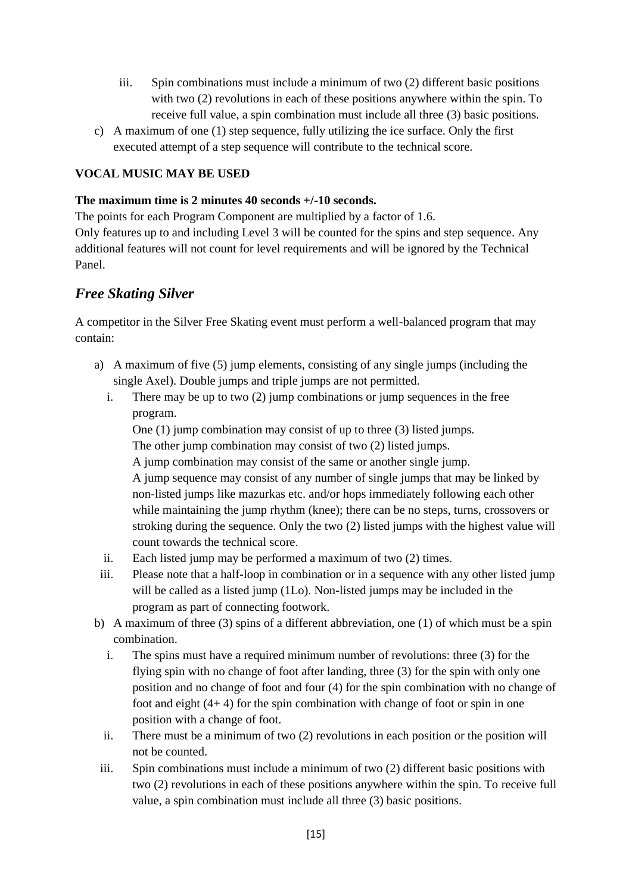- iii. Spin combinations must include a minimum of two (2) different basic positions with two (2) revolutions in each of these positions anywhere within the spin. To receive full value, a spin combination must include all three (3) basic positions.
- c) A maximum of one (1) step sequence, fully utilizing the ice surface. Only the first executed attempt of a step sequence will contribute to the technical score.

## **VOCAL MUSIC MAY BE USED**

#### **The maximum time is 2 minutes 40 seconds +/-10 seconds.**

The points for each Program Component are multiplied by a factor of 1.6.

Only features up to and including Level 3 will be counted for the spins and step sequence. Any additional features will not count for level requirements and will be ignored by the Technical Panel.

## *Free Skating Silver*

A competitor in the Silver Free Skating event must perform a well-balanced program that may contain:

- a) A maximum of five (5) jump elements, consisting of any single jumps (including the single Axel). Double jumps and triple jumps are not permitted.
	- i. There may be up to two (2) jump combinations or jump sequences in the free program.

One (1) jump combination may consist of up to three (3) listed jumps. The other jump combination may consist of two (2) listed jumps.

A jump combination may consist of the same or another single jump. A jump sequence may consist of any number of single jumps that may be linked by non-listed jumps like mazurkas etc. and/or hops immediately following each other while maintaining the jump rhythm (knee); there can be no steps, turns, crossovers or stroking during the sequence. Only the two (2) listed jumps with the highest value will count towards the technical score.

- ii. Each listed jump may be performed a maximum of two (2) times.
- iii. Please note that a half-loop in combination or in a sequence with any other listed jump will be called as a listed jump (1Lo). Non-listed jumps may be included in the program as part of connecting footwork.
- b) A maximum of three (3) spins of a different abbreviation, one (1) of which must be a spin combination.
	- i. The spins must have a required minimum number of revolutions: three (3) for the flying spin with no change of foot after landing, three (3) for the spin with only one position and no change of foot and four (4) for the spin combination with no change of foot and eight (4+ 4) for the spin combination with change of foot or spin in one position with a change of foot.
	- ii. There must be a minimum of two (2) revolutions in each position or the position will not be counted.
	- iii. Spin combinations must include a minimum of two (2) different basic positions with two (2) revolutions in each of these positions anywhere within the spin. To receive full value, a spin combination must include all three (3) basic positions.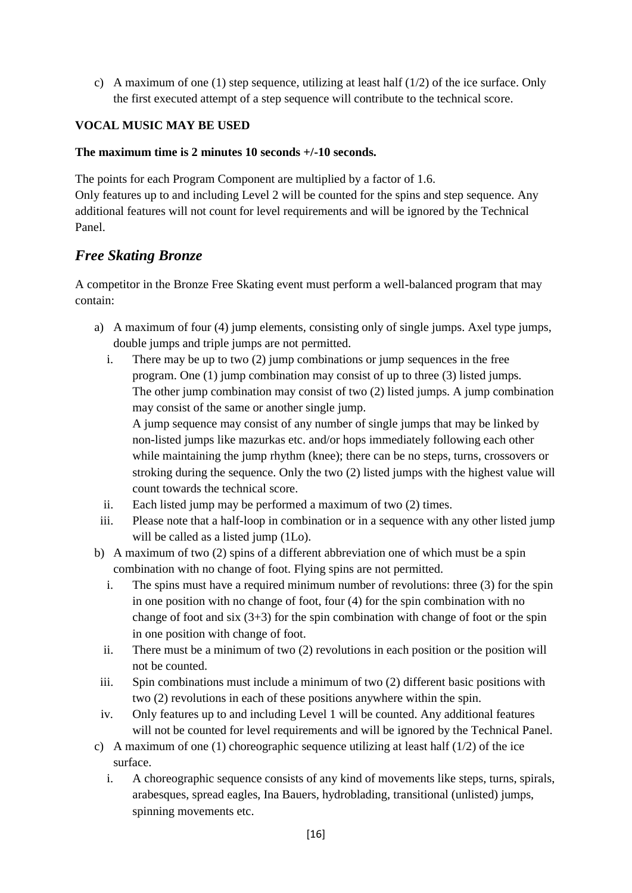c) A maximum of one (1) step sequence, utilizing at least half (1/2) of the ice surface. Only the first executed attempt of a step sequence will contribute to the technical score.

## **VOCAL MUSIC MAY BE USED**

#### **The maximum time is 2 minutes 10 seconds +/-10 seconds.**

The points for each Program Component are multiplied by a factor of 1.6. Only features up to and including Level 2 will be counted for the spins and step sequence. Any additional features will not count for level requirements and will be ignored by the Technical Panel.

## *Free Skating Bronze*

A competitor in the Bronze Free Skating event must perform a well-balanced program that may contain:

- a) A maximum of four (4) jump elements, consisting only of single jumps. Axel type jumps, double jumps and triple jumps are not permitted.
	- i. There may be up to two (2) jump combinations or jump sequences in the free program. One (1) jump combination may consist of up to three (3) listed jumps. The other jump combination may consist of two (2) listed jumps. A jump combination may consist of the same or another single jump.

A jump sequence may consist of any number of single jumps that may be linked by non-listed jumps like mazurkas etc. and/or hops immediately following each other while maintaining the jump rhythm (knee); there can be no steps, turns, crossovers or stroking during the sequence. Only the two (2) listed jumps with the highest value will count towards the technical score.

- ii. Each listed jump may be performed a maximum of two (2) times.
- iii. Please note that a half-loop in combination or in a sequence with any other listed jump will be called as a listed jump (1Lo).
- b) A maximum of two (2) spins of a different abbreviation one of which must be a spin combination with no change of foot. Flying spins are not permitted.
	- i. The spins must have a required minimum number of revolutions: three (3) for the spin in one position with no change of foot, four (4) for the spin combination with no change of foot and six  $(3+3)$  for the spin combination with change of foot or the spin in one position with change of foot.
	- ii. There must be a minimum of two (2) revolutions in each position or the position will not be counted.
- iii. Spin combinations must include a minimum of two (2) different basic positions with two (2) revolutions in each of these positions anywhere within the spin.
- iv. Only features up to and including Level 1 will be counted. Any additional features will not be counted for level requirements and will be ignored by the Technical Panel.
- c) A maximum of one (1) choreographic sequence utilizing at least half  $(1/2)$  of the ice surface.
	- i. A choreographic sequence consists of any kind of movements like steps, turns, spirals, arabesques, spread eagles, Ina Bauers, hydroblading, transitional (unlisted) jumps, spinning movements etc.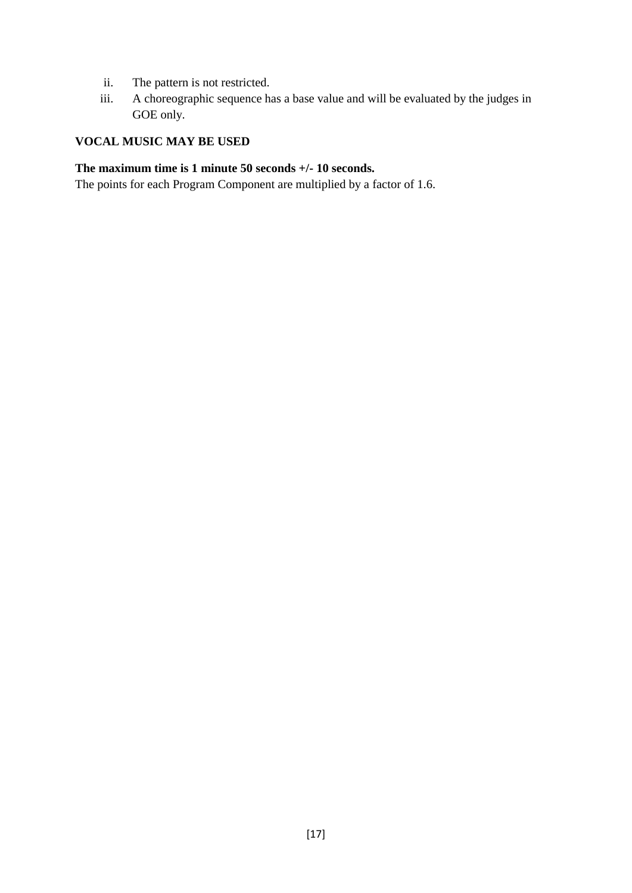- ii. The pattern is not restricted.
- iii. A choreographic sequence has a base value and will be evaluated by the judges in GOE only.

#### **VOCAL MUSIC MAY BE USED**

#### **The maximum time is 1 minute 50 seconds +/- 10 seconds.**

The points for each Program Component are multiplied by a factor of 1.6.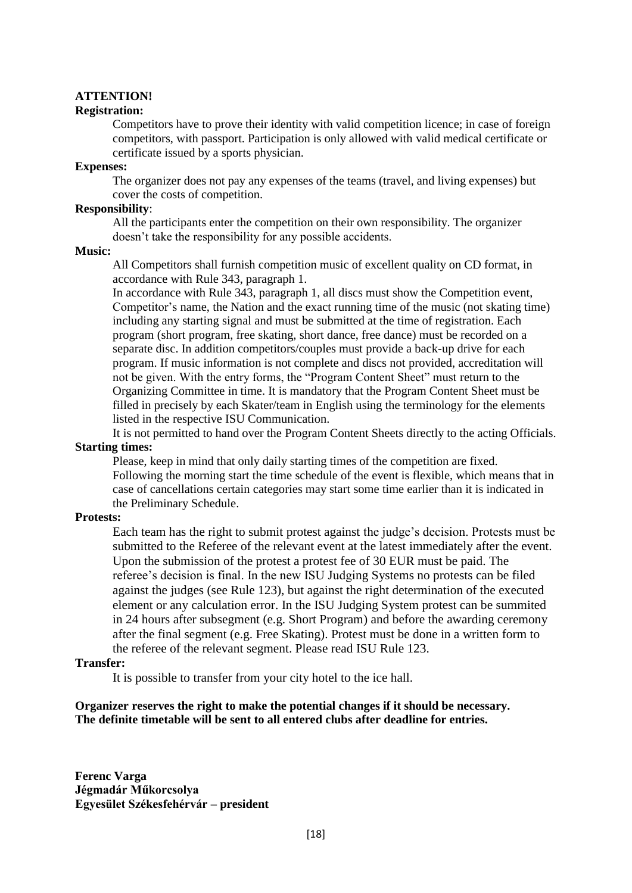#### **ATTENTION!**

#### **Registration:**

Competitors have to prove their identity with valid competition licence; in case of foreign competitors, with passport. Participation is only allowed with valid medical certificate or certificate issued by a sports physician.

#### **Expenses:**

The organizer does not pay any expenses of the teams (travel, and living expenses) but cover the costs of competition.

#### **Responsibility**:

All the participants enter the competition on their own responsibility. The organizer doesn't take the responsibility for any possible accidents.

#### **Music:**

All Competitors shall furnish competition music of excellent quality on CD format, in accordance with Rule 343, paragraph 1.

In accordance with Rule 343, paragraph 1, all discs must show the Competition event, Competitor's name, the Nation and the exact running time of the music (not skating time) including any starting signal and must be submitted at the time of registration. Each program (short program, free skating, short dance, free dance) must be recorded on a separate disc. In addition competitors/couples must provide a back-up drive for each program. If music information is not complete and discs not provided, accreditation will not be given. With the entry forms, the "Program Content Sheet" must return to the Organizing Committee in time. It is mandatory that the Program Content Sheet must be filled in precisely by each Skater/team in English using the terminology for the elements listed in the respective ISU Communication.

It is not permitted to hand over the Program Content Sheets directly to the acting Officials. **Starting times:**

Please, keep in mind that only daily starting times of the competition are fixed. Following the morning start the time schedule of the event is flexible, which means that in case of cancellations certain categories may start some time earlier than it is indicated in the Preliminary Schedule.

#### **Protests:**

Each team has the right to submit protest against the judge's decision. Protests must be submitted to the Referee of the relevant event at the latest immediately after the event. Upon the submission of the protest a protest fee of 30 EUR must be paid. The referee's decision is final. In the new ISU Judging Systems no protests can be filed against the judges (see Rule 123), but against the right determination of the executed element or any calculation error. In the ISU Judging System protest can be summited in 24 hours after subsegment (e.g. Short Program) and before the awarding ceremony after the final segment (e.g. Free Skating). Protest must be done in a written form to the referee of the relevant segment. Please read ISU Rule 123.

#### **Transfer:**

It is possible to transfer from your city hotel to the ice hall.

#### **Organizer reserves the right to make the potential changes if it should be necessary. The definite timetable will be sent to all entered clubs after deadline for entries.**

**Ferenc Varga Jégmadár Műkorcsolya Egyesület Székesfehérvár – president**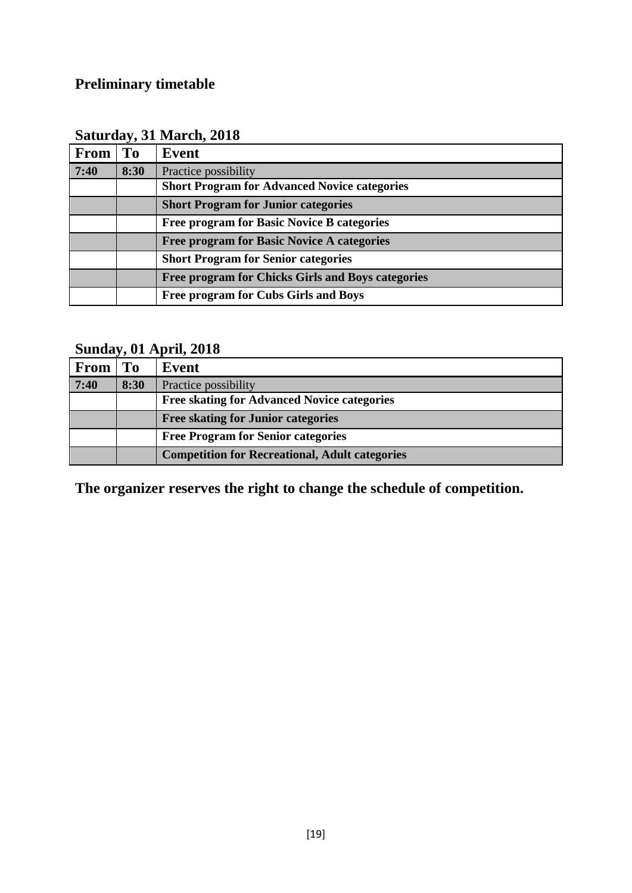# **Preliminary timetable**

| <b>From</b> | <b>To</b> | Event                                               |
|-------------|-----------|-----------------------------------------------------|
| 7:40        | 8:30      | Practice possibility                                |
|             |           | <b>Short Program for Advanced Novice categories</b> |
|             |           | <b>Short Program for Junior categories</b>          |
|             |           | <b>Free program for Basic Novice B categories</b>   |
|             |           | <b>Free program for Basic Novice A categories</b>   |
|             |           | <b>Short Program for Senior categories</b>          |
|             |           | Free program for Chicks Girls and Boys categories   |
|             |           | Free program for Cubs Girls and Boys                |

# **Sunday, 01 April, 2018**

| <b>From</b> | To   | Event                                                 |
|-------------|------|-------------------------------------------------------|
| 7:40        | 8:30 | Practice possibility                                  |
|             |      | <b>Free skating for Advanced Novice categories</b>    |
|             |      | <b>Free skating for Junior categories</b>             |
|             |      | <b>Free Program for Senior categories</b>             |
|             |      | <b>Competition for Recreational, Adult categories</b> |

**The organizer reserves the right to change the schedule of competition.**